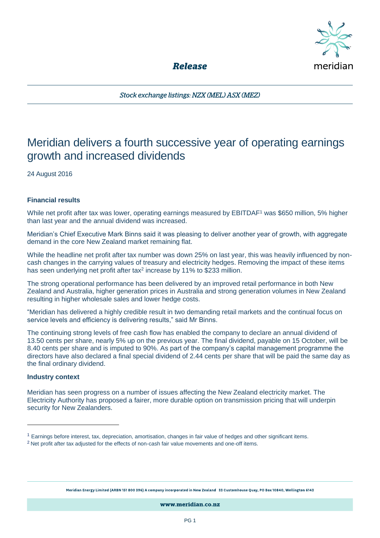

**Release** 

Stock exchange listings: NZX (MEL) ASX (MEZ)

# Meridian delivers a fourth successive year of operating earnings growth and increased dividends

24 August 2016

## **Financial results**

While net profit after tax was lower, operating earnings measured by EBITDAF<sup>1</sup> was \$650 million, 5% higher than last year and the annual dividend was increased.

Meridian's Chief Executive Mark Binns said it was pleasing to deliver another year of growth, with aggregate demand in the core New Zealand market remaining flat.

While the headline net profit after tax number was down 25% on last year, this was heavily influenced by noncash changes in the carrying values of treasury and electricity hedges. Removing the impact of these items has seen underlying net profit after tax<sup>2</sup> increase by 11% to \$233 million.

The strong operational performance has been delivered by an improved retail performance in both New Zealand and Australia, higher generation prices in Australia and strong generation volumes in New Zealand resulting in higher wholesale sales and lower hedge costs.

"Meridian has delivered a highly credible result in two demanding retail markets and the continual focus on service levels and efficiency is delivering results," said Mr Binns.

The continuing strong levels of free cash flow has enabled the company to declare an annual dividend of 13.50 cents per share, nearly 5% up on the previous year. The final dividend, payable on 15 October, will be 8.40 cents per share and is imputed to 90%. As part of the company's capital management programme the directors have also declared a final special dividend of 2.44 cents per share that will be paid the same day as the final ordinary dividend.

### **Industry context**

 $\overline{a}$ 

Meridian has seen progress on a number of issues affecting the New Zealand electricity market. The Electricity Authority has proposed a fairer, more durable option on transmission pricing that will underpin security for New Zealanders.

Meridian Energy Limited (ARBN 151 800 396) A company incorporated in New Zealand 33 Customhouse Quay, PO Box 10840, Wellington 6143

www.meridian.co.nz

<sup>1</sup> Earnings before interest, tax, depreciation, amortisation, changes in fair value of hedges and other significant items.

<sup>&</sup>lt;sup>2</sup> Net profit after tax adjusted for the effects of non-cash fair value movements and one-off items.